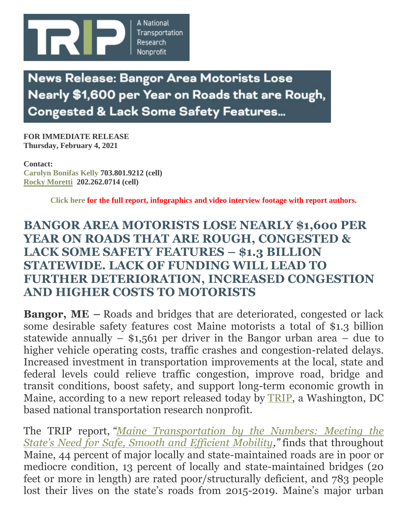

**News Release: Bangor Area Motorists Lose** Nearly \$1,600 per Year on Roads that are Rough, **Congested & Lack Some Safety Features...** 

**FOR IMMEDIATE RELEASE Thursday, February 4, 2021**

**Contact: [Carolyn Bonifas Kelly](mailto:bonifas@tripnet.org) 703.801.9212 (cell) [Rocky Moretti](mailto:moretti@tripnet.org) 202.262.0714 (cell)**

**[Click here](https://tripnet.org/reports/maine-transportation-by-the-numbers-february-2021) for the full report, infographics and video interview footage with report authors.**

## **BANGOR AREA MOTORISTS LOSE NEARLY \$1,600 PER YEAR ON ROADS THAT ARE ROUGH, CONGESTED & LACK SOME SAFETY FEATURES – \$1.3 BILLION STATEWIDE. LACK OF FUNDING WILL LEAD TO FURTHER DETERIORATION, INCREASED CONGESTION AND HIGHER COSTS TO MOTORISTS**

**Bangor, ME** – Roads and bridges that are deteriorated, congested or lack some desirable safety features cost Maine motorists a total of \$1.3 billion statewide annually  $-$  \$1,561 per driver in the Bangor urban area  $-$  due to higher vehicle operating costs, traffic crashes and congestion-related delays. Increased investment in transportation improvements at the local, state and federal levels could relieve traffic congestion, improve road, bridge and transit conditions, boost safety, and support long-term economic growth in Maine, according to a new report released today by [TRIP,](http://www.tripnet.org/) a Washington, DC based national transportation research nonprofit.

The TRIP report, *"[Maine Transportation by the Numbers: Meeting the](https://tripnet.org/reports/trip-maine-transportation-by-the-numbers-report-february-2021)  [State's Need for Safe, Smooth and Efficient Mobility,](https://tripnet.org/reports/trip-maine-transportation-by-the-numbers-report-february-2021)"* finds that throughout Maine, 44 percent of major locally and state-maintained roads are in poor or mediocre condition, 13 percent of locally and state-maintained bridges (20 feet or more in length) are rated poor/structurally deficient, and 783 people lost their lives on the state's roads from 2015-2019. Maine's major urban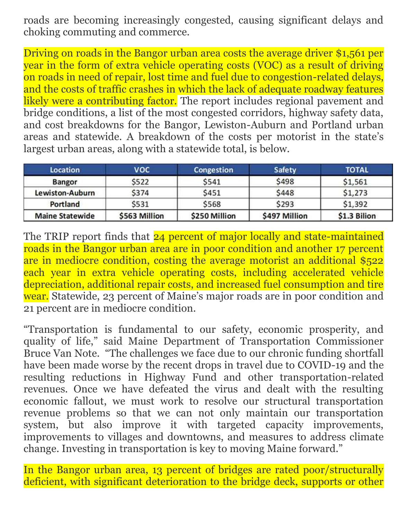roads are becoming increasingly congested, causing significant delays and choking commuting and commerce.

Driving on roads in the Bangor urban area costs the average driver \$1,561 per year in the form of extra vehicle operating costs (VOC) as a result of driving on roads in need of repair, lost time and fuel due to congestion-related delays, and the costs of traffic crashes in which the lack of adequate roadway features likely were a contributing factor. The report includes regional pavement and bridge conditions, a list of the most congested corridors, highway safety data, and cost breakdowns for the Bangor, Lewiston-Auburn and Portland urban areas and statewide. A breakdown of the costs per motorist in the state's largest urban areas, along with a statewide total, is below.

| <b>Location</b>        | voc           | <b>Congestion</b> | <b>Safety</b> | <b>TOTAL</b> |
|------------------------|---------------|-------------------|---------------|--------------|
| <b>Bangor</b>          | \$522         | \$541             | \$498         | \$1,561      |
| Lewiston-Auburn        | \$374         | \$451             | \$448         | \$1,273      |
| Portland               | \$531         | \$568             | \$293         | \$1,392      |
| <b>Maine Statewide</b> | \$563 Million | \$250 Million     | \$497 Million | \$1.3 Bilion |

The TRIP report finds that 24 percent of major locally and state-maintained roads in the Bangor urban area are in poor condition and another 17 percent are in mediocre condition, costing the average motorist an additional \$522 each year in extra vehicle operating costs, including accelerated vehicle depreciation, additional repair costs, and increased fuel consumption and tire wear. Statewide, 23 percent of Maine's major roads are in poor condition and 21 percent are in mediocre condition.

"Transportation is fundamental to our safety, economic prosperity, and quality of life," said Maine Department of Transportation Commissioner Bruce Van Note. "The challenges we face due to our chronic funding shortfall have been made worse by the recent drops in travel due to COVID-19 and the resulting reductions in Highway Fund and other transportation-related revenues. Once we have defeated the virus and dealt with the resulting economic fallout, we must work to resolve our structural transportation revenue problems so that we can not only maintain our transportation system, but also improve it with targeted capacity improvements, improvements to villages and downtowns, and measures to address climate change. Investing in transportation is key to moving Maine forward."

In the Bangor urban area, 13 percent of bridges are rated poor/structurally deficient, with significant deterioration to the bridge deck, supports or other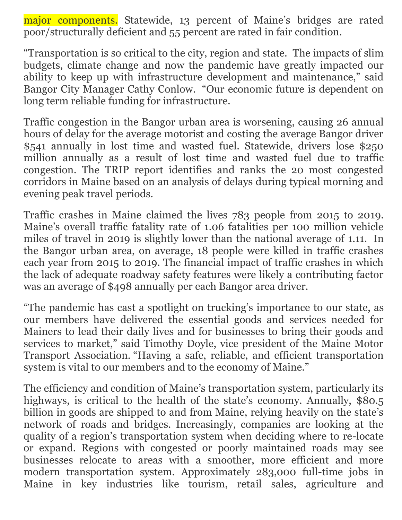major components. Statewide, 13 percent of Maine's bridges are rated poor/structurally deficient and 55 percent are rated in fair condition.

"Transportation is so critical to the city, region and state. The impacts of slim budgets, climate change and now the pandemic have greatly impacted our ability to keep up with infrastructure development and maintenance," said Bangor City Manager Cathy Conlow. "Our economic future is dependent on long term reliable funding for infrastructure.

Traffic congestion in the Bangor urban area is worsening, causing 26 annual hours of delay for the average motorist and costing the average Bangor driver \$541 annually in lost time and wasted fuel. Statewide, drivers lose \$250 million annually as a result of lost time and wasted fuel due to traffic congestion. The TRIP report identifies and ranks the 20 most congested corridors in Maine based on an analysis of delays during typical morning and evening peak travel periods.

Traffic crashes in Maine claimed the lives 783 people from 2015 to 2019. Maine's overall traffic fatality rate of 1.06 fatalities per 100 million vehicle miles of travel in 2019 is slightly lower than the national average of 1.11. In the Bangor urban area, on average, 18 people were killed in traffic crashes each year from 2015 to 2019. The financial impact of traffic crashes in which the lack of adequate roadway safety features were likely a contributing factor was an average of \$498 annually per each Bangor area driver.

"The pandemic has cast a spotlight on trucking's importance to our state, as our members have delivered the essential goods and services needed for Mainers to lead their daily lives and for businesses to bring their goods and services to market," said Timothy Doyle, vice president of the Maine Motor Transport Association. "Having a safe, reliable, and efficient transportation system is vital to our members and to the economy of Maine."

The efficiency and condition of Maine's transportation system, particularly its highways, is critical to the health of the state's economy. Annually, \$80.5 billion in goods are shipped to and from Maine, relying heavily on the state's network of roads and bridges. Increasingly, companies are looking at the quality of a region's transportation system when deciding where to re-locate or expand. Regions with congested or poorly maintained roads may see businesses relocate to areas with a smoother, more efficient and more modern transportation system. Approximately 283,000 full-time jobs in Maine in key industries like tourism, retail sales, agriculture and